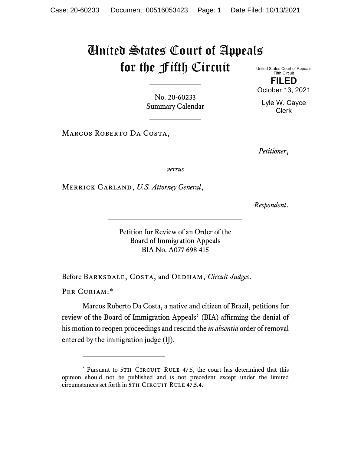## United States Court of Appeals for the Fifth Circuit United States Court of Appeals

No. 20-60233 Summary Calendar

MARCOS ROBERTO DA COSTA,

*Petitioner*,

*versus*

Merrick Garland, *U.S. Attorney General*,

*Respondent*.

Petition for Review of an Order of the Board of Immigration Appeals BIA No. A077 698 415

Before BARKSDALE, COSTA, and OLDHAM, *Circuit Judges*.

PER CURIAM:[\\*](#page-0-0)

Marcos Roberto Da Costa, a native and citizen of Brazil, petitions for review of the Board of Immigration Appeals' (BIA) affirming the denial of his motion to reopen proceedings and rescind the *in absentia* order of removal entered by the immigration judge (IJ).

**FILED** October 13, 2021 Lyle W. Cayce

Fifth Circuit

Clerk

<span id="page-0-0"></span><sup>\*</sup> Pursuant to 5TH CIRCUIT RULE 47.5, the court has determined that this opinion should not be published and is not precedent except under the limited circumstances set forth in 5TH CIRCUIT RULE 47.5.4.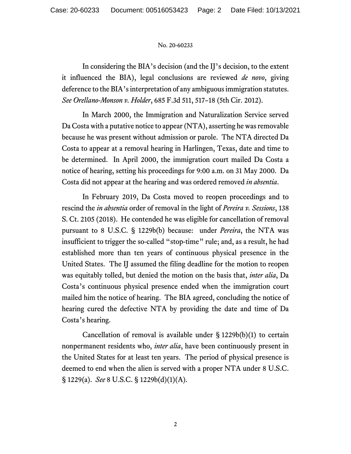## No. 20-60233

In considering the BIA's decision (and the IJ's decision, to the extent it influenced the BIA), legal conclusions are reviewed *de novo*, giving deference to the BIA's interpretation of any ambiguous immigration statutes. *See Orellano-Monson v. Holder*, 685 F.3d 511, 517–18 (5th Cir. 2012).

In March 2000, the Immigration and Naturalization Service served Da Costa with a putative notice to appear (NTA), asserting he was removable because he was present without admission or parole. The NTA directed Da Costa to appear at a removal hearing in Harlingen, Texas, date and time to be determined. In April 2000, the immigration court mailed Da Costa a notice of hearing, setting his proceedings for 9:00 a.m. on 31 May 2000. Da Costa did not appear at the hearing and was ordered removed *in absentia*.

In February 2019, Da Costa moved to reopen proceedings and to rescind the *in absentia* order of removal in the light of *Pereira v. Sessions*, 138 S. Ct. 2105 (2018). He contended he was eligible for cancellation of removal pursuant to 8 U.S.C. § 1229b(b) because: under *Pereira*, the NTA was insufficient to trigger the so-called "stop-time" rule; and, as a result, he had established more than ten years of continuous physical presence in the United States. The IJ assumed the filing deadline for the motion to reopen was equitably tolled, but denied the motion on the basis that, *inter alia*, Da Costa's continuous physical presence ended when the immigration court mailed him the notice of hearing. The BIA agreed, concluding the notice of hearing cured the defective NTA by providing the date and time of Da Costa's hearing.

Cancellation of removal is available under  $\S$  1229b(b)(1) to certain nonpermanent residents who, *inter alia*, have been continuously present in the United States for at least ten years. The period of physical presence is deemed to end when the alien is served with a proper NTA under 8 U.S.C. § 1229(a). *See* 8 U.S.C. § 1229b(d)(1)(A).